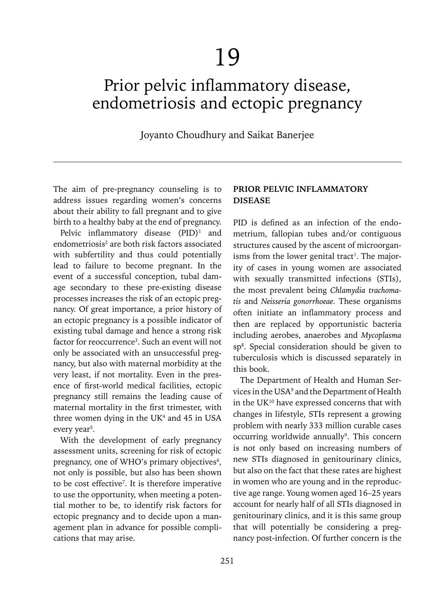# Prior pelvic inflammatory disease, endometriosis and ectopic pregnancy

Joyanto Choudhury and Saikat Banerjee

The aim of pre-pregnancy counseling is to address issues regarding women's concerns about their ability to fall pregnant and to give birth to a healthy baby at the end of pregnancy.

Pelvic inflammatory disease  $(PID)^1$  and endometriosis<sup>2</sup> are both risk factors associated with subfertility and thus could potentially lead to failure to become pregnant. In the event of a successful conception, tubal damage secondary to these pre-existing disease processes increases the risk of an ectopic pregnancy. Of great importance, a prior history of an ectopic pregnancy is a possible indicator of existing tubal damage and hence a strong risk factor for reoccurrence<sup>3</sup>. Such an event will not only be associated with an unsuccessful pregnancy, but also with maternal morbidity at the very least, if not mortality. Even in the presence of first-world medical facilities, ectopic pregnancy still remains the leading cause of maternal mortality in the first trimester, with three women dying in the  $UK<sup>4</sup>$  and 45 in USA every year<sup>5</sup>.

With the development of early pregnancy assessment units, screening for risk of ectopic pregnancy, one of WHO's primary objectives $6$ , not only is possible, but also has been shown to be cost effective<sup>7</sup>. It is therefore imperative to use the opportunity, when meeting a potential mother to be, to identify risk factors for ectopic pregnancy and to decide upon a management plan in advance for possible complications that may arise.

## **PRIOR PELVIC INFLAMMATORY DISEASE**

PID is defined as an infection of the endometrium, fallopian tubes and/or contiguous structures caused by the ascent of microorganisms from the lower genital tract<sup>1</sup>. The majority of cases in young women are associated with sexually transmitted infections (STIs), the most prevalent being *Chlamydia trachomatis* and *Neisseria gonorrhoeae.* These organisms often initiate an inflammatory process and then are replaced by opportunistic bacteria including aerobes, anaerobes and *Mycoplasma* sp8 . Special consideration should be given to tuberculosis which is discussed separately in this book.

The Department of Health and Human Services in the USA<sup>9</sup> and the Department of Health in the UK10 have expressed concerns that with changes in lifestyle, STIs represent a growing problem with nearly 333 million curable cases occurring worldwide annually<sup>9</sup>. This concern is not only based on increasing numbers of new STIs diagnosed in genitourinary clinics, but also on the fact that these rates are highest in women who are young and in the reproductive age range. Young women aged 16–25 years account for nearly half of all STIs diagnosed in genitourinary clinics, and it is this same group that will potentially be considering a pregnancy post-infection. Of further concern is the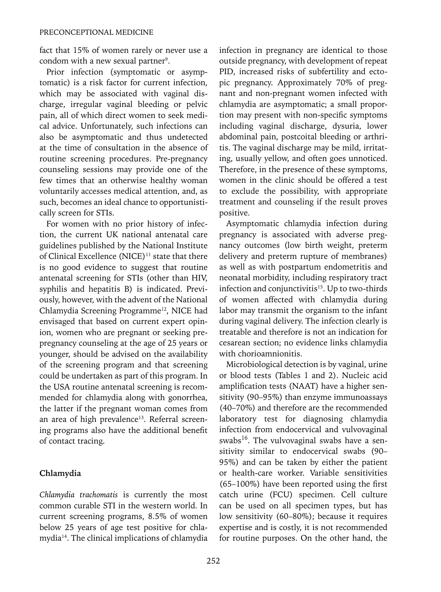fact that 15% of women rarely or never use a condom with a new sexual partner<sup>9</sup>.

Prior infection (symptomatic or asymptomatic) is a risk factor for current infection, which may be associated with vaginal discharge, irregular vaginal bleeding or pelvic pain, all of which direct women to seek medical advice. Unfortunately, such infections can also be asymptomatic and thus undetected at the time of consultation in the absence of routine screening procedures. Pre-pregnancy counseling sessions may provide one of the few times that an otherwise healthy woman voluntarily accesses medical attention, and, as such, becomes an ideal chance to opportunistically screen for STIs.

For women with no prior history of infection, the current UK national antenatal care guidelines published by the National Institute of Clinical Excellence (NICE)<sup>11</sup> state that there is no good evidence to suggest that routine antenatal screening for STIs (other than HIV, syphilis and hepatitis B) is indicated. Previously, however, with the advent of the National Chlamydia Screening Programme<sup>12</sup>, NICE had envisaged that based on current expert opinion, women who are pregnant or seeking prepregnancy counseling at the age of 25 years or younger, should be advised on the availability of the screening program and that screening could be undertaken as part of this program. In the USA routine antenatal screening is recommended for chlamydia along with gonorrhea, the latter if the pregnant woman comes from an area of high prevalence<sup>13</sup>. Referral screening programs also have the additional benefit of contact tracing.

## **Chlamydia**

*Chlamydia trachomatis* is currently the most common curable STI in the western world. In current screening programs, 8.5% of women below 25 years of age test positive for chlamydia14. The clinical implications of chlamydia infection in pregnancy are identical to those outside pregnancy, with development of repeat PID, increased risks of subfertility and ectopic pregnancy. Approximately 70% of pregnant and non-pregnant women infected with chlamydia are asymptomatic; a small proportion may present with non-specific symptoms including vaginal discharge, dysuria, lower abdominal pain, postcoital bleeding or arthritis. The vaginal discharge may be mild, irritating, usually yellow, and often goes unnoticed. Therefore, in the presence of these symptoms, women in the clinic should be offered a test to exclude the possibility, with appropriate treatment and counseling if the result proves positive.

Asymptomatic chlamydia infection during pregnancy is associated with adverse pregnancy outcomes (low birth weight, preterm delivery and preterm rupture of membranes) as well as with postpartum endometritis and neonatal morbidity, including respiratory tract infection and conjunctivitis<sup>15</sup>. Up to two-thirds of women affected with chlamydia during labor may transmit the organism to the infant during vaginal delivery. The infection clearly is treatable and therefore is not an indication for cesarean section; no evidence links chlamydia with chorioamnionitis.

Microbiological detection is by vaginal, urine or blood tests (Tables 1 and 2). Nucleic acid amplification tests (NAAT) have a higher sensitivity (90–95%) than enzyme immunoassays (40–70%) and therefore are the recommended laboratory test for diagnosing chlamydia infection from endocervical and vulvovaginal swabs $16$ . The vulvovaginal swabs have a sensitivity similar to endocervical swabs (90– 95%) and can be taken by either the patient or health-care worker. Variable sensitivities (65–100%) have been reported using the first catch urine (FCU) specimen. Cell culture can be used on all specimen types, but has low sensitivity (60–80%); because it requires expertise and is costly, it is not recommended for routine purposes. On the other hand, the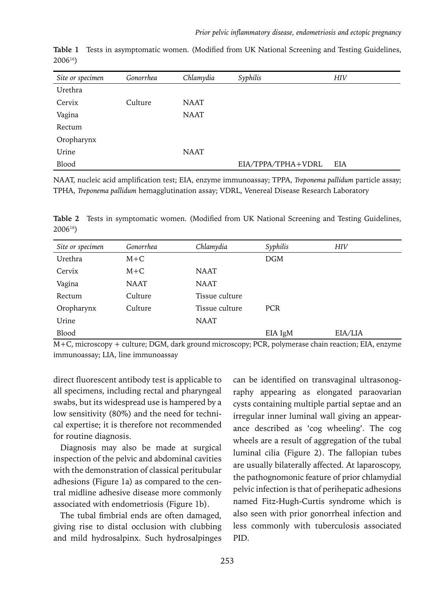| Site or specimen | Gonorrhea | Chlamydia   | Syphilis           | <b>HIV</b> |
|------------------|-----------|-------------|--------------------|------------|
| Urethra          |           |             |                    |            |
| Cervix           | Culture   | <b>NAAT</b> |                    |            |
| Vagina           |           | <b>NAAT</b> |                    |            |
| Rectum           |           |             |                    |            |
| Oropharynx       |           |             |                    |            |
| Urine            |           | <b>NAAT</b> |                    |            |
| Blood            |           |             | EIA/TPPA/TPHA+VDRL | <b>EIA</b> |

**Table 1** Tests in asymptomatic women. (Modified from UK National Screening and Testing Guidelines, 200616)

NAAT, nucleic acid amplification test; EIA, enzyme immunoassay; TPPA, *Treponema pallidum* particle assay; TPHA, *Treponema pallidum* hemagglutination assay; VDRL, Venereal Disease Research Laboratory

**Table 2** Tests in symptomatic women. (Modified from UK National Screening and Testing Guidelines, 200616)

| Site or specimen | Gonorrhea   | Chlamydia      | Syphilis   | <b>HIV</b> |
|------------------|-------------|----------------|------------|------------|
| Urethra          | $M+C$       |                | <b>DGM</b> |            |
| Cervix           | $M+C$       | <b>NAAT</b>    |            |            |
| Vagina           | <b>NAAT</b> | <b>NAAT</b>    |            |            |
| Rectum           | Culture     | Tissue culture |            |            |
| Oropharynx       | Culture     | Tissue culture | <b>PCR</b> |            |
| Urine            |             | <b>NAAT</b>    |            |            |
| Blood            |             |                | EIA IgM    | EIA/LIA    |

M+C, microscopy + culture; DGM, dark ground microscopy; PCR, polymerase chain reaction; EIA, enzyme immunoassay; LIA, line immunoassay

direct fluorescent antibody test is applicable to all specimens, including rectal and pharyngeal swabs, but its widespread use is hampered by a low sensitivity (80%) and the need for technical expertise; it is therefore not recommended for routine diagnosis.

Diagnosis may also be made at surgical inspection of the pelvic and abdominal cavities with the demonstration of classical peritubular adhesions (Figure 1a) as compared to the central midline adhesive disease more commonly associated with endometriosis (Figure 1b).

The tubal fimbrial ends are often damaged, giving rise to distal occlusion with clubbing and mild hydrosalpinx. Such hydrosalpinges can be identified on transvaginal ultrasonography appearing as elongated paraovarian cysts containing multiple partial septae and an irregular inner luminal wall giving an appearance described as 'cog wheeling'. The cog wheels are a result of aggregation of the tubal luminal cilia (Figure 2). The fallopian tubes are usually bilaterally affected. At laparoscopy, the pathognomonic feature of prior chlamydial pelvic infection is that of perihepatic adhesions named Fitz-Hugh-Curtis syndrome which is also seen with prior gonorrheal infection and less commonly with tuberculosis associated PID.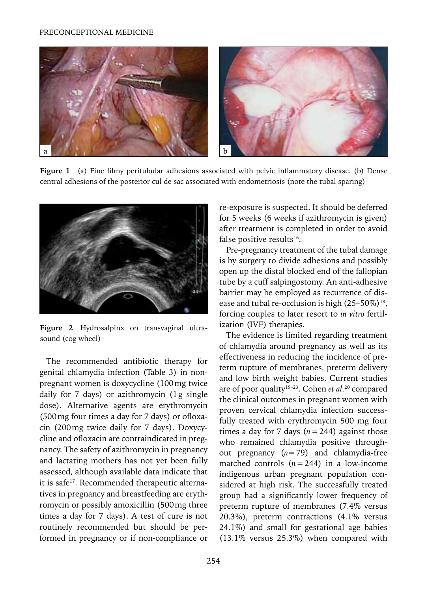#### PRECONCEPTIONAL MEDICINE



**Figure 1** (a) Fine filmy peritubular adhesions associated with pelvic inflammatory disease. (b) Dense central adhesions of the posterior cul de sac associated with endometriosis (note the tubal sparing)



**Figure 2** Hydrosalpinx on transvaginal ultrasound (cog wheel)

The recommended antibiotic therapy for genital chlamydia infection (Table 3) in nonpregnant women is doxycycline (100mg twice daily for 7 days) or azithromycin (1g single dose). Alternative agents are erythromycin (500mg four times a day for 7 days) or ofloxacin (200mg twice daily for 7 days). Doxycycline and ofloxacin are contraindicated in pregnancy. The safety of azithromycin in pregnancy and lactating mothers has not yet been fully assessed, although available data indicate that it is safe<sup>17</sup>. Recommended therapeutic alternatives in pregnancy and breastfeeding are erythromycin or possibly amoxicillin (500mg three times a day for 7 days). A test of cure is not routinely recommended but should be performed in pregnancy or if non-compliance or re-exposure is suspected. It should be deferred for 5 weeks (6 weeks if azithromycin is given) after treatment is completed in order to avoid false positive results<sup>16</sup>.

Pre-pregnancy treatment of the tubal damage is by surgery to divide adhesions and possibly open up the distal blocked end of the fallopian tube by a cuff salpingostomy. An anti-adhesive barrier may be employed as recurrence of disease and tubal re-occlusion is high  $(25-50\%)^{18}$ , forcing couples to later resort to *in vitro* fertilization (IVF) therapies.

The evidence is limited regarding treatment of chlamydia around pregnancy as well as its effectiveness in reducing the incidence of preterm rupture of membranes, preterm delivery and low birth weight babies. Current studies are of poor quality19–23. Cohen *et al.*20 compared the clinical outcomes in pregnant women with proven cervical chlamydia infection successfully treated with erythromycin 500 mg four times a day for 7 days  $(n=244)$  against those who remained chlamydia positive throughout pregnancy (*n*=79) and chlamydia-free matched controls  $(n=244)$  in a low-income indigenous urban pregnant population considered at high risk. The successfully treated group had a significantly lower frequency of preterm rupture of membranes (7.4% versus 20.3%), preterm contractions (4.1% versus 24.1%) and small for gestational age babies (13.1% versus 25.3%) when compared with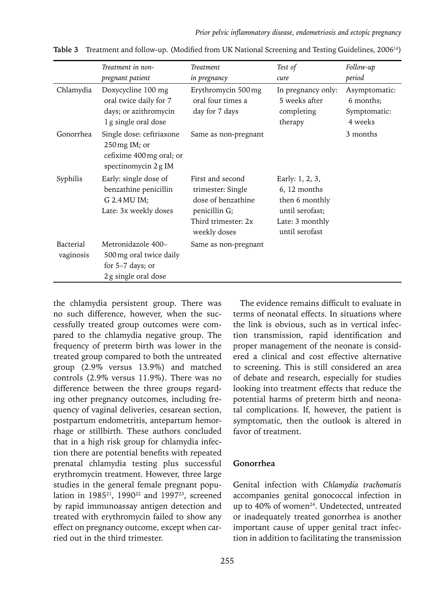|                        | Treatment in non-<br>pregnant patient                                                        | <b>Treatment</b><br>in pregnancy                                                                                    | Test of<br>cure                                                                                           | Follow-up<br>period                                   |
|------------------------|----------------------------------------------------------------------------------------------|---------------------------------------------------------------------------------------------------------------------|-----------------------------------------------------------------------------------------------------------|-------------------------------------------------------|
| Chlamydia              | Doxycycline 100 mg<br>oral twice daily for 7<br>days; or azithromycin<br>1g single oral dose | Erythromycin 500 mg<br>oral four times a<br>day for 7 days                                                          | In pregnancy only:<br>5 weeks after<br>completing<br>therapy                                              | Asymptomatic:<br>6 months:<br>Symptomatic:<br>4 weeks |
| Gonorrhea              | Single dose: ceftriaxone<br>250 mg IM; or<br>cefixime 400 mg oral; or<br>spectinomycin 2g IM | Same as non-pregnant                                                                                                |                                                                                                           | 3 months                                              |
| Syphilis               | Early: single dose of<br>benzathine penicillin<br>G 2.4 MU IM;<br>Late: 3x weekly doses      | First and second<br>trimester: Single<br>dose of benzathine<br>penicillin G;<br>Third trimester: 2x<br>weekly doses | Early: 1, 2, 3,<br>6, 12 months<br>then 6 monthly<br>until serofast:<br>Late: 3 monthly<br>until serofast |                                                       |
| Bacterial<br>vaginosis | Metronidazole 400-<br>500 mg oral twice daily<br>for $5-7$ days; or<br>2g single oral dose   | Same as non-pregnant                                                                                                |                                                                                                           |                                                       |

**Table 3** Treatment and follow-up. (Modified from UK National Screening and Testing Guidelines, 200616)

the chlamydia persistent group. There was no such difference, however, when the successfully treated group outcomes were compared to the chlamydia negative group. The frequency of preterm birth was lower in the treated group compared to both the untreated group (2.9% versus 13.9%) and matched controls (2.9% versus 11.9%). There was no difference between the three groups regarding other pregnancy outcomes, including frequency of vaginal deliveries, cesarean section, postpartum endometritis, antepartum hemorrhage or stillbirth. These authors concluded that in a high risk group for chlamydia infection there are potential benefits with repeated prenatal chlamydia testing plus successful erythromycin treatment. However, three large studies in the general female pregnant population in 1985<sup>21</sup>, 1990<sup>22</sup> and 1997<sup>23</sup>, screened by rapid immunoassay antigen detection and treated with erythromycin failed to show any effect on pregnancy outcome, except when carried out in the third trimester.

The evidence remains difficult to evaluate in terms of neonatal effects. In situations where the link is obvious, such as in vertical infection transmission, rapid identification and proper management of the neonate is considered a clinical and cost effective alternative to screening. This is still considered an area of debate and research, especially for studies looking into treatment effects that reduce the potential harms of preterm birth and neonatal complications. If, however, the patient is symptomatic, then the outlook is altered in favor of treatment.

#### **Gonorrhea**

Genital infection with *Chlamydia trachomatis* accompanies genital gonococcal infection in up to 40% of women<sup>24</sup>. Undetected, untreated or inadequately treated gonorrhea is another important cause of upper genital tract infection in addition to facilitating the transmission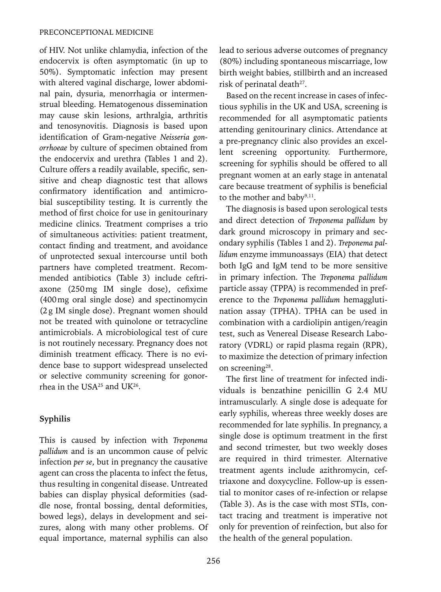of HIV. Not unlike chlamydia, infection of the endocervix is often asymptomatic (in up to 50%). Symptomatic infection may present with altered vaginal discharge, lower abdominal pain, dysuria, menorrhagia or intermenstrual bleeding. Hematogenous dissemination may cause skin lesions, arthralgia, arthritis and tenosynovitis. Diagnosis is based upon identification of Gram-negative *Neisseria gonorrhoeae* by culture of specimen obtained from the endocervix and urethra (Tables 1 and 2). Culture offers a readily available, specific, sensitive and cheap diagnostic test that allows confirmatory identification and antimicrobial susceptibility testing. It is currently the method of first choice for use in genitourinary medicine clinics. Treatment comprises a trio of simultaneous activities: patient treatment, contact finding and treatment, and avoidance of unprotected sexual intercourse until both partners have completed treatment. Recommended antibiotics (Table 3) include ceftriaxone (250mg IM single dose), cefixime (400mg oral single dose) and spectinomycin (2g IM single dose). Pregnant women should not be treated with quinolone or tetracycline antimicrobials. A microbiological test of cure is not routinely necessary. Pregnancy does not diminish treatment efficacy. There is no evidence base to support widespread unselected or selective community screening for gonorrhea in the USA25 and UK26.

## **Syphilis**

This is caused by infection with *Treponema pallidum* and is an uncommon cause of pelvic infection *per se*, but in pregnancy the causative agent can cross the placenta to infect the fetus, thus resulting in congenital disease. Untreated babies can display physical deformities (saddle nose, frontal bossing, dental deformities, bowed legs), delays in development and seizures, along with many other problems. Of equal importance, maternal syphilis can also lead to serious adverse outcomes of pregnancy (80%) including spontaneous miscarriage, low birth weight babies, stillbirth and an increased risk of perinatal death<sup>27</sup>.

Based on the recent increase in cases of infectious syphilis in the UK and USA, screening is recommended for all asymptomatic patients attending genitourinary clinics. Attendance at a pre-pregnancy clinic also provides an excellent screening opportunity. Furthermore, screening for syphilis should be offered to all pregnant women at an early stage in antenatal care because treatment of syphilis is beneficial to the mother and baby<sup>9,11</sup>.

The diagnosis is based upon serological tests and direct detection of *Treponema pallidum* by dark ground microscopy in primary and secondary syphilis (Tables 1 and 2). *Treponema pallidum* enzyme immunoassays (EIA) that detect both IgG and IgM tend to be more sensitive in primary infection. The *Treponema pallidum*  particle assay (TPPA) is recommended in preference to the *Treponema pallidum* hemagglutination assay (TPHA). TPHA can be used in combination with a cardiolipin antigen/reagin test, such as Venereal Disease Research Laboratory (VDRL) or rapid plasma regain (RPR), to maximize the detection of primary infection on screening<sup>28</sup>.

The first line of treatment for infected individuals is benzathine penicillin G 2.4 MU intramuscularly. A single dose is adequate for early syphilis, whereas three weekly doses are recommended for late syphilis. In pregnancy, a single dose is optimum treatment in the first and second trimester, but two weekly doses are required in third trimester. Alternative treatment agents include azithromycin, ceftriaxone and doxycycline. Follow-up is essential to monitor cases of re-infection or relapse (Table 3). As is the case with most STIs, contact tracing and treatment is imperative not only for prevention of reinfection, but also for the health of the general population.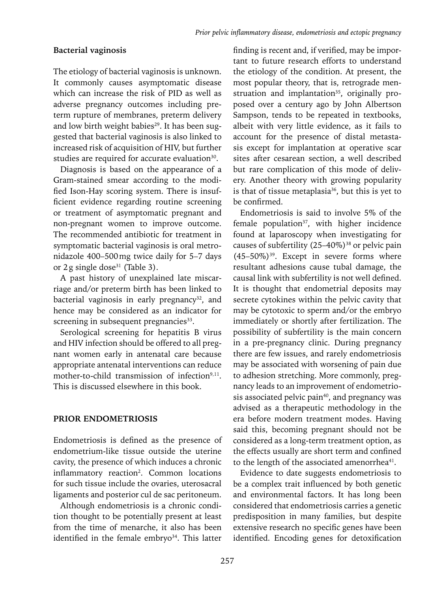## **Bacterial vaginosis**

The etiology of bacterial vaginosis is unknown. It commonly causes asymptomatic disease which can increase the risk of PID as well as adverse pregnancy outcomes including preterm rupture of membranes, preterm delivery and low birth weight babies<sup>29</sup>. It has been suggested that bacterial vaginosis is also linked to increased risk of acquisition of HIV, but further studies are required for accurate evaluation<sup>30</sup>.

Diagnosis is based on the appearance of a Gram-stained smear according to the modified Ison-Hay scoring system. There is insufficient evidence regarding routine screening or treatment of asymptomatic pregnant and non-pregnant women to improve outcome. The recommended antibiotic for treatment in symptomatic bacterial vaginosis is oral metronidazole 400–500mg twice daily for 5–7 days or  $2g \sin g$ le dose<sup>31</sup> (Table 3).

A past history of unexplained late miscarriage and/or preterm birth has been linked to bacterial vaginosis in early pregnancy<sup>32</sup>, and hence may be considered as an indicator for screening in subsequent pregnancies<sup>33</sup>.

Serological screening for hepatitis B virus and HIV infection should be offered to all pregnant women early in antenatal care because appropriate antenatal interventions can reduce mother-to-child transmission of infection<sup>9,11</sup>. This is discussed elsewhere in this book.

## **PRIOR ENDOMETRIOSIS**

Endometriosis is defined as the presence of endometrium-like tissue outside the uterine cavity, the presence of which induces a chronic inflammatory reaction<sup>2</sup>. Common locations for such tissue include the ovaries, uterosacral ligaments and posterior cul de sac peritoneum.

Although endometriosis is a chronic condition thought to be potentially present at least from the time of menarche, it also has been identified in the female embryo<sup>34</sup>. This latter finding is recent and, if verified, may be important to future research efforts to understand the etiology of the condition. At present, the most popular theory, that is, retrograde menstruation and implantation<sup>35</sup>, originally proposed over a century ago by John Albertson Sampson, tends to be repeated in textbooks, albeit with very little evidence, as it fails to account for the presence of distal metastasis except for implantation at operative scar sites after cesarean section, a well described but rare complication of this mode of delivery. Another theory with growing popularity is that of tissue metaplasia<sup>36</sup>, but this is yet to be confirmed.

Endometriosis is said to involve 5% of the female population $37$ , with higher incidence found at laparoscopy when investigating for causes of subfertility (25-40%)<sup>38</sup> or pelvic pain  $(45-50\%)$ <sup>39</sup>. Except in severe forms where resultant adhesions cause tubal damage, the causal link with subfertility is not well defined. It is thought that endometrial deposits may secrete cytokines within the pelvic cavity that may be cytotoxic to sperm and/or the embryo immediately or shortly after fertilization. The possibility of subfertility is the main concern in a pre-pregnancy clinic. During pregnancy there are few issues, and rarely endometriosis may be associated with worsening of pain due to adhesion stretching. More commonly, pregnancy leads to an improvement of endometriosis associated pelvic pain<sup>40</sup>, and pregnancy was advised as a therapeutic methodology in the era before modern treatment modes. Having said this, becoming pregnant should not be considered as a long-term treatment option, as the effects usually are short term and confined to the length of the associated amenorrhea<sup>41</sup>.

Evidence to date suggests endometriosis to be a complex trait influenced by both genetic and environmental factors. It has long been considered that endometriosis carries a genetic predisposition in many families, but despite extensive research no specific genes have been identified. Encoding genes for detoxification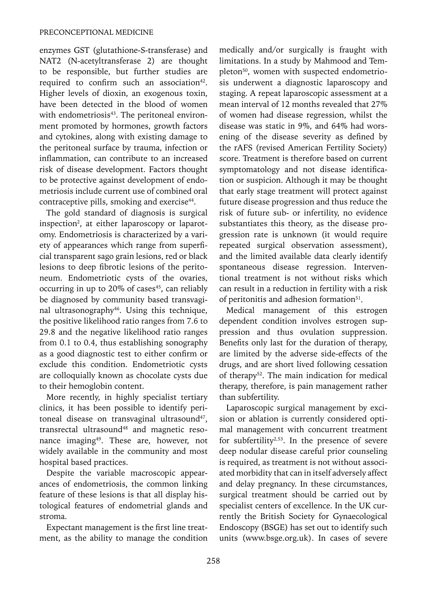enzymes GST (glutathione-S-transferase) and NAT2 (N-acetyltransferase 2) are thought to be responsible, but further studies are required to confirm such an association $42$ . Higher levels of dioxin, an exogenous toxin, have been detected in the blood of women with endometriosis<sup>43</sup>. The peritoneal environment promoted by hormones, growth factors and cytokines, along with existing damage to the peritoneal surface by trauma, infection or inflammation, can contribute to an increased risk of disease development. Factors thought to be protective against development of endometriosis include current use of combined oral contraceptive pills, smoking and exercise<sup>44</sup>.

The gold standard of diagnosis is surgical inspection<sup>2</sup>, at either laparoscopy or laparotomy. Endometriosis is characterized by a variety of appearances which range from superficial transparent sago grain lesions, red or black lesions to deep fibrotic lesions of the peritoneum. Endometriotic cysts of the ovaries, occurring in up to 20% of cases<sup>45</sup>, can reliably be diagnosed by community based transvaginal ultrasonography<sup>46</sup>. Using this technique, the positive likelihood ratio ranges from 7.6 to 29.8 and the negative likelihood ratio ranges from 0.1 to 0.4, thus establishing sonography as a good diagnostic test to either confirm or exclude this condition. Endometriotic cysts are colloquially known as chocolate cysts due to their hemoglobin content.

More recently, in highly specialist tertiary clinics, it has been possible to identify peritoneal disease on transvaginal ultrasound<sup>47</sup>, transrectal ultrasound<sup>48</sup> and magnetic resonance imaging<sup>49</sup>. These are, however, not widely available in the community and most hospital based practices.

Despite the variable macroscopic appearances of endometriosis, the common linking feature of these lesions is that all display histological features of endometrial glands and stroma.

Expectant management is the first line treatment, as the ability to manage the condition medically and/or surgically is fraught with limitations. In a study by Mahmood and Templeton<sup>50</sup>, women with suspected endometriosis underwent a diagnostic laparoscopy and staging. A repeat laparoscopic assessment at a mean interval of 12 months revealed that 27% of women had disease regression, whilst the disease was static in 9%, and 64% had worsening of the disease severity as defined by the rAFS (revised American Fertility Society) score. Treatment is therefore based on current symptomatology and not disease identification or suspicion. Although it may be thought that early stage treatment will protect against future disease progression and thus reduce the risk of future sub- or infertility, no evidence substantiates this theory, as the disease progression rate is unknown (it would require repeated surgical observation assessment), and the limited available data clearly identify spontaneous disease regression. Interventional treatment is not without risks which can result in a reduction in fertility with a risk of peritonitis and adhesion formation<sup>51</sup>.

Medical management of this estrogen dependent condition involves estrogen suppression and thus ovulation suppression. Benefits only last for the duration of therapy, are limited by the adverse side-effects of the drugs, and are short lived following cessation of therapy<sup>52</sup>. The main indication for medical therapy, therefore, is pain management rather than subfertility.

Laparoscopic surgical management by excision or ablation is currently considered optimal management with concurrent treatment for subfertility<sup>2,53</sup>. In the presence of severe deep nodular disease careful prior counseling is required, as treatment is not without associated morbidity that can in itself adversely affect and delay pregnancy. In these circumstances, surgical treatment should be carried out by specialist centers of excellence. In the UK currently the British Society for Gynaecological Endoscopy (BSGE) has set out to identify such units (www.bsge.org.uk). In cases of severe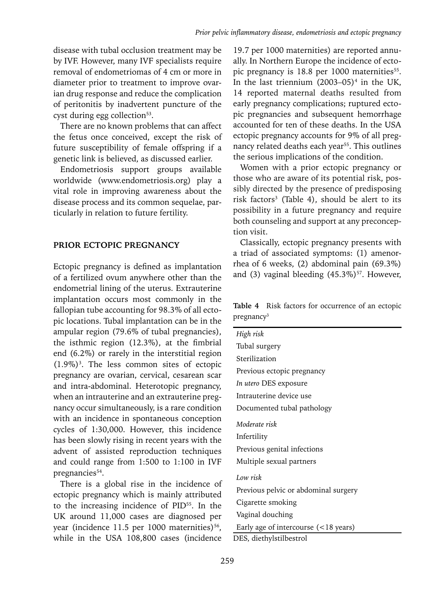disease with tubal occlusion treatment may be by IVF. However, many IVF specialists require removal of endometriomas of 4 cm or more in diameter prior to treatment to improve ovarian drug response and reduce the complication of peritonitis by inadvertent puncture of the cyst during egg collection<sup>53</sup>.

There are no known problems that can affect the fetus once conceived, except the risk of future susceptibility of female offspring if a genetic link is believed, as discussed earlier.

Endometriosis support groups available worldwide (www.endometriosis.org) play a vital role in improving awareness about the disease process and its common sequelae, particularly in relation to future fertility.

#### **Prior ECTOPIC PREGNANCY**

Ectopic pregnancy is defined as implantation of a fertilized ovum anywhere other than the endometrial lining of the uterus. Extrauterine implantation occurs most commonly in the fallopian tube accounting for 98.3% of all ectopic locations. Tubal implantation can be in the ampular region (79.6% of tubal pregnancies), the isthmic region (12.3%), at the fimbrial end (6.2%) or rarely in the interstitial region  $(1.9\%)$ <sup>3</sup>. The less common sites of ectopic pregnancy are ovarian, cervical, cesarean scar and intra-abdominal. Heterotopic pregnancy, when an intrauterine and an extrauterine pregnancy occur simultaneously, is a rare condition with an incidence in spontaneous conception cycles of 1:30,000. However, this incidence has been slowly rising in recent years with the advent of assisted reproduction techniques and could range from 1:500 to 1:100 in IVF pregnancies<sup>54</sup>.

There is a global rise in the incidence of ectopic pregnancy which is mainly attributed to the increasing incidence of PID55. In the UK around 11,000 cases are diagnosed per year (incidence 11.5 per 1000 maternities)<sup>56</sup>, while in the USA 108,800 cases (incidence

19.7 per 1000 maternities) are reported annually. In Northern Europe the incidence of ectopic pregnancy is  $18.8$  per 1000 maternities<sup>55</sup>. In the last triennium  $(2003-05)^4$  in the UK, 14 reported maternal deaths resulted from early pregnancy complications; ruptured ectopic pregnancies and subsequent hemorrhage accounted for ten of these deaths. In the USA ectopic pregnancy accounts for 9% of all pregnancy related deaths each year<sup>55</sup>. This outlines the serious implications of the condition.

Women with a prior ectopic pregnancy or those who are aware of its potential risk, possibly directed by the presence of predisposing risk factors<sup>3</sup> (Table 4), should be alert to its possibility in a future pregnancy and require both counseling and support at any preconception visit.

Classically, ectopic pregnancy presents with a triad of associated symptoms: (1) amenorrhea of 6 weeks, (2) abdominal pain (69.3%) and (3) vaginal bleeding  $(45.3\%)^{57}$ . However,

**Table 4** Risk factors for occurrence of an ectopic pregnancy<sup>3</sup>

*High risk* Tubal surgery Sterilization Previous ectopic pregnancy *In utero* DES exposure Intrauterine device use Documented tubal pathology *Moderate risk* Infertility Previous genital infections Multiple sexual partners *Low risk* Previous pelvic or abdominal surgery Cigarette smoking Vaginal douching Early age of intercourse (<18 years) DES, diethylstilbestrol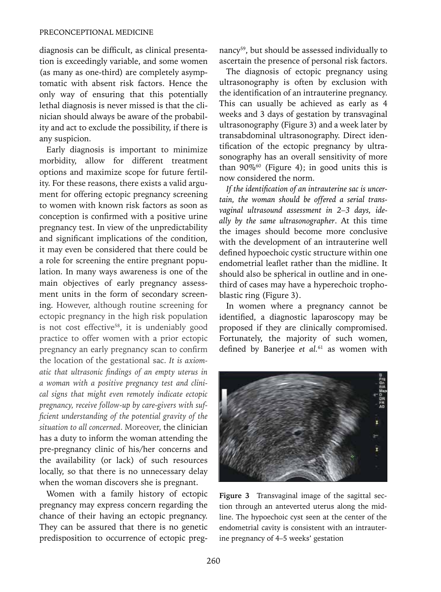diagnosis can be difficult, as clinical presentation is exceedingly variable, and some women (as many as one-third) are completely asymptomatic with absent risk factors. Hence the only way of ensuring that this potentially lethal diagnosis is never missed is that the clinician should always be aware of the probability and act to exclude the possibility, if there is any suspicion.

Early diagnosis is important to minimize morbidity, allow for different treatment options and maximize scope for future fertility. For these reasons, there exists a valid argument for offering ectopic pregnancy screening to women with known risk factors as soon as conception is confirmed with a positive urine pregnancy test. In view of the unpredictability and significant implications of the condition, it may even be considered that there could be a role for screening the entire pregnant population. In many ways awareness is one of the main objectives of early pregnancy assessment units in the form of secondary screening. However, although routine screening for ectopic pregnancy in the high risk population is not cost effective<sup>58</sup>, it is undeniably good practice to offer women with a prior ectopic pregnancy an early pregnancy scan to confirm the location of the gestational sac. *It is axiomatic that ultrasonic findings of an empty uterus in a woman with a positive pregnancy test and clinical signs that might even remotely indicate ectopic pregnancy, receive follow-up by care-givers with sufficient understanding of the potential gravity of the situation to all concerned*. Moreover, the clinician has a duty to inform the woman attending the pre-pregnancy clinic of his/her concerns and the availability (or lack) of such resources locally, so that there is no unnecessary delay when the woman discovers she is pregnant.

Women with a family history of ectopic pregnancy may express concern regarding the chance of their having an ectopic pregnancy. They can be assured that there is no genetic predisposition to occurrence of ectopic pregnancy59, but should be assessed individually to ascertain the presence of personal risk factors.

The diagnosis of ectopic pregnancy using ultrasonography is often by exclusion with the identification of an intrauterine pregnancy. This can usually be achieved as early as 4 weeks and 3 days of gestation by transvaginal ultrasonography (Figure 3) and a week later by transabdominal ultrasonography. Direct identification of the ectopic pregnancy by ultrasonography has an overall sensitivity of more than  $90\%$ <sup>60</sup> (Figure 4); in good units this is now considered the norm.

*If the identification of an intrauterine sac is uncertain, the woman should be offered a serial transvaginal ultrasound assessment in 2–3 days, ideally by the same ultrasonographer*. At this time the images should become more conclusive with the development of an intrauterine well defined hypoechoic cystic structure within one endometrial leaflet rather than the midline. It should also be spherical in outline and in onethird of cases may have a hyperechoic trophoblastic ring (Figure 3).

In women where a pregnancy cannot be identified, a diagnostic laparoscopy may be proposed if they are clinically compromised. Fortunately, the majority of such women, defined by Banerjee *et al.*61 as women with



**Figure 3** Transvaginal image of the sagittal section through an anteverted uterus along the midline. The hypoechoic cyst seen at the center of the endometrial cavity is consistent with an intrauterine pregnancy of 4–5 weeks' gestation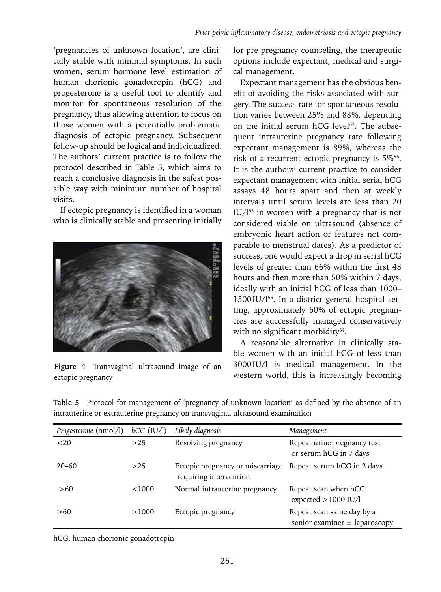'pregnancies of unknown location', are clinically stable with minimal symptoms. In such women, serum hormone level estimation of human chorionic gonadotropin (hCG) and progesterone is a useful tool to identify and monitor for spontaneous resolution of the pregnancy, thus allowing attention to focus on those women with a potentially problematic diagnosis of ectopic pregnancy. Subsequent follow-up should be logical and individualized. The authors' current practice is to follow the protocol described in Table 5, which aims to reach a conclusive diagnosis in the safest possible way with minimum number of hospital visits.

If ectopic pregnancy is identified in a woman who is clinically stable and presenting initially



**Figure 4** Transvaginal ultrasound image of an ectopic pregnancy

for pre-pregnancy counseling, the therapeutic options include expectant, medical and surgical management.

Expectant management has the obvious benefit of avoiding the risks associated with surgery. The success rate for spontaneous resolution varies between 25% and 88%, depending on the initial serum hCG level<sup>62</sup>. The subsequent intrauterine pregnancy rate following expectant management is 89%, whereas the risk of a recurrent ectopic pregnancy is 5%<sup>56</sup>. It is the authors' current practice to consider expectant management with initial serial hCG assays 48 hours apart and then at weekly intervals until serum levels are less than 20  $IU/I<sup>63</sup>$  in women with a pregnancy that is not considered viable on ultrasound (absence of embryonic heart action or features not comparable to menstrual dates). As a predictor of success, one would expect a drop in serial hCG levels of greater than 66% within the first 48 hours and then more than 50% within 7 days, ideally with an initial hCG of less than 1000– 1500IU/l56. In a district general hospital setting, approximately 60% of ectopic pregnancies are successfully managed conservatively with no significant morbidity<sup>64</sup>.

A reasonable alternative in clinically stable women with an initial hCG of less than 3000IU/l is medical management. In the western world, this is increasingly becoming

**Table 5** Protocol for management of 'pregnancy of unknown location' as defined by the absence of an intrauterine or extrauterine pregnancy on transvaginal ultrasound examination

| <i>Progesterone</i> (nmol/l) | $hCG$ (IU/l) | Likely diagnosis                                           | Management                                                     |
|------------------------------|--------------|------------------------------------------------------------|----------------------------------------------------------------|
| $20$                         | >25          | Resolving pregnancy                                        | Repeat urine pregnancy test<br>or serum hCG in 7 days          |
| $20 - 60$                    | >25          | Ectopic pregnancy or miscarriage<br>requiring intervention | Repeat serum hCG in 2 days                                     |
| >60                          | < 1000       | Normal intrauterine pregnancy                              | Repeat scan when hCG<br>expected $>1000$ IU/l                  |
| >60                          | >1000        | Ectopic pregnancy                                          | Repeat scan same day by a<br>senior examiner $\pm$ laparoscopy |

hCG, human chorionic gonadotropin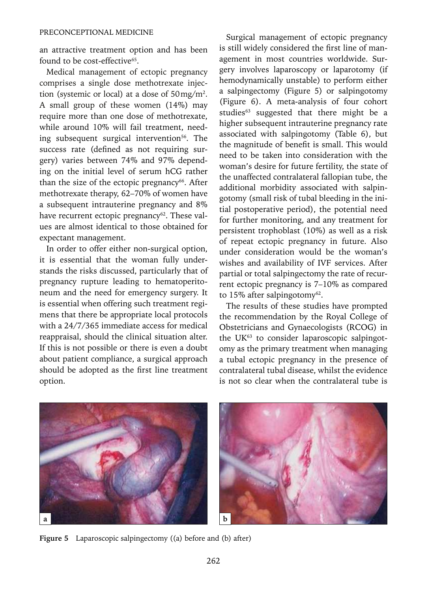an attractive treatment option and has been found to be cost-effective<sup>65</sup>.

Medical management of ectopic pregnancy comprises a single dose methotrexate injection (systemic or local) at a dose of  $50 \,\mathrm{mg/m^2}$ . A small group of these women (14%) may require more than one dose of methotrexate, while around 10% will fail treatment, needing subsequent surgical intervention<sup>56</sup>. The success rate (defined as not requiring surgery) varies between 74% and 97% depending on the initial level of serum hCG rather than the size of the ectopic pregnancy $66$ . After methotrexate therapy, 62–70% of women have a subsequent intrauterine pregnancy and 8% have recurrent ectopic pregnancy<sup>62</sup>. These values are almost identical to those obtained for expectant management.

In order to offer either non-surgical option, it is essential that the woman fully understands the risks discussed, particularly that of pregnancy rupture leading to hematoperitoneum and the need for emergency surgery. It is essential when offering such treatment regimens that there be appropriate local protocols with a 24/7/365 immediate access for medical reappraisal, should the clinical situation alter. If this is not possible or there is even a doubt about patient compliance, a surgical approach should be adopted as the first line treatment option.

PRECONCEPTIONAL MEDICINE<br>
Surgical management of ectopic pregnancy is still widely considered the first line of management in most countries worldwide. Surgery involves laparoscopy or laparotomy (if hemodynamically unstable) to perform either a salpingectomy (Figure 5) or salpingotomy (Figure 6). A meta-analysis of four cohort studies<sup>63</sup> suggested that there might be a higher subsequent intrauterine pregnancy rate associated with salpingotomy (Table 6), but the magnitude of benefit is small. This would need to be taken into consideration with the woman's desire for future fertility, the state of the unaffected contralateral fallopian tube, the additional morbidity associated with salpingotomy (small risk of tubal bleeding in the initial postoperative period), the potential need for further monitoring, and any treatment for persistent trophoblast (10%) as well as a risk of repeat ectopic pregnancy in future. Also under consideration would be the woman's wishes and availability of IVF services. After partial or total salpingectomy the rate of recurrent ectopic pregnancy is 7–10% as compared to 15% after salpingotomy $62$ .

> The results of these studies have prompted the recommendation by the Royal College of Obstetricians and Gynaecologists (RCOG) in the UK<sup>63</sup> to consider laparoscopic salpingotomy as the primary treatment when managing a tubal ectopic pregnancy in the presence of contralateral tubal disease, whilst the evidence is not so clear when the contralateral tube is



**Figure 5** Laparoscopic salpingectomy ((a) before and (b) after)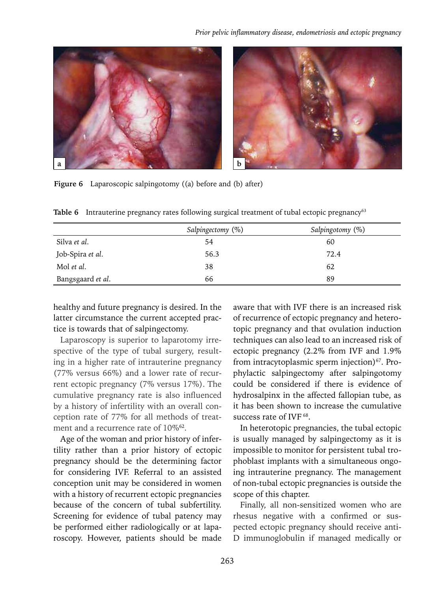



**Figure 6** Laparoscopic salpingotomy ((a) before and (b) after)

|                   | Salpingectomy (%) | Salpingotomy (%) |
|-------------------|-------------------|------------------|
| Silva et al.      | 54                | 60               |
| Job-Spira et al.  | 56.3              | 72.4             |
| Mol et al.        | 38                | 62               |
| Bangsgaard et al. | 66                | 89               |

**Table 6** Intrauterine pregnancy rates following surgical treatment of tubal ectopic pregnancy<sup>63</sup>

healthy and future pregnancy is desired. In the latter circumstance the current accepted practice is towards that of salpingectomy.

Laparoscopy is superior to laparotomy irrespective of the type of tubal surgery, resulting in a higher rate of intrauterine pregnancy (77% versus 66%) and a lower rate of recurrent ectopic pregnancy (7% versus 17%). The cumulative pregnancy rate is also influenced by a history of infertility with an overall conception rate of 77% for all methods of treatment and a recurrence rate of 10%62.

Age of the woman and prior history of infertility rather than a prior history of ectopic pregnancy should be the determining factor for considering IVF. Referral to an assisted conception unit may be considered in women with a history of recurrent ectopic pregnancies because of the concern of tubal subfertility. Screening for evidence of tubal patency may be performed either radiologically or at laparoscopy. However, patients should be made

aware that with IVF there is an increased risk of recurrence of ectopic pregnancy and heterotopic pregnancy and that ovulation induction techniques can also lead to an increased risk of ectopic pregnancy (2.2% from IVF and 1.9% from intracytoplasmic sperm injection) $67$ . Prophylactic salpingectomy after salpingotomy could be considered if there is evidence of hydrosalpinx in the affected fallopian tube, as it has been shown to increase the cumulative success rate of IVF<sup>68</sup>.

In heterotopic pregnancies, the tubal ectopic is usually managed by salpingectomy as it is impossible to monitor for persistent tubal trophoblast implants with a simultaneous ongoing intrauterine pregnancy. The management of non-tubal ectopic pregnancies is outside the scope of this chapter.

Finally, all non-sensitized women who are rhesus negative with a confirmed or suspected ectopic pregnancy should receive anti-D immunoglobulin if managed medically or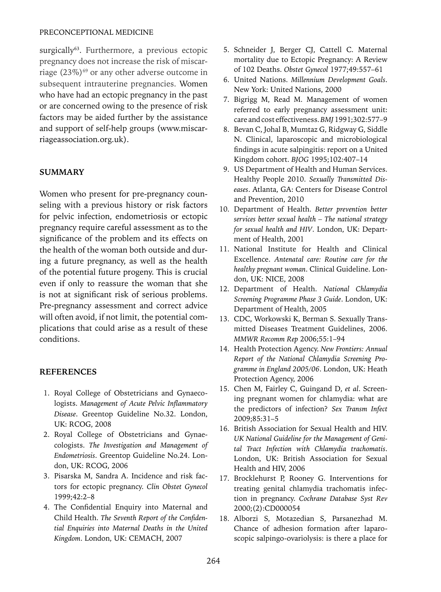surgically<sup>63</sup>. Furthermore, a previous ectopic pregnancy does not increase the risk of miscarriage  $(23\%)$ <sup>69</sup> or any other adverse outcome in subsequent intrauterine pregnancies. Women who have had an ectopic pregnancy in the past or are concerned owing to the presence of risk factors may be aided further by the assistance and support of self-help groups (www.miscarriageassociation.org.uk).

#### **SUMMARY**

Women who present for pre-pregnancy counseling with a previous history or risk factors for pelvic infection, endometriosis or ectopic pregnancy require careful assessment as to the significance of the problem and its effects on the health of the woman both outside and during a future pregnancy, as well as the health of the potential future progeny. This is crucial even if only to reassure the woman that she is not at significant risk of serious problems. Pre-pregnancy assessment and correct advice will often avoid, if not limit, the potential complications that could arise as a result of these conditions.

#### **References**

- 1. Royal College of Obstetricians and Gynaecologists. *Management of Acute Pelvic Inflammatory Disease*. Greentop Guideline No.32. London, UK: RCOG, 2008
- 2. Royal College of Obstetricians and Gynaecologists. *The Investigation and Management of Endometriosis*. Greentop Guideline No.24. London, UK: RCOG, 2006
- 3. Pisarska M, Sandra A. Incidence and risk factors for ectopic pregnancy. *Clin Obstet Gynecol*  1999;42:2–8
- 4. The Confidential Enquiry into Maternal and Child Health. *The Seventh Report of the Confidential Enquiries into Maternal Deaths in the United Kingdom*. London, UK: CEMACH, 2007
- 5. Schneider J, Berger CJ, Cattell C. Maternal mortality due to Ectopic Pregnancy: A Review of 102 Deaths. *Obstet Gynecol* 1977;49:557–61
- 6. United Nations. *Millennium Development Goals*. New York: United Nations, 2000
- 7. Bigrigg M, Read M. Management of women referred to early pregnancy assessment unit: care and cost effectiveness. *BMJ* 1991;302:577–9
- 8. Bevan C, Johal B, Mumtaz G, Ridgway G, Siddle N. Clinical, laparoscopic and microbiological findings in acute salpingitis: report on a United Kingdom cohort. *BJOG* 1995;102:407–14
- 9. US Department of Health and Human Services. Healthy People 2010. *Sexually Transmitted Diseases*. Atlanta, GA: Centers for Disease Control and Prevention, 2010
- 10. Department of Health. *Better prevention better services better sexual health – The national strategy for sexual health and HIV*. London, UK: Department of Health, 2001
- 11. National Institute for Health and Clinical Excellence. *Antenatal care: Routine care for the healthy pregnant woman*. Clinical Guideline. London, UK: NICE, 2008
- 12. Department of Health. *National Chlamydia Screening Programme Phase 3 Guide*. London, UK: Department of Health, 2005
- 13. CDC, Workowski K, Berman S. Sexually Transmitted Diseases Treatment Guidelines, 2006. *MMWR Recomm Rep* 2006;55:1–94
- 14. Health Protection Agency. *New Frontiers: Annual Report of the National Chlamydia Screening Programme in England 2005/06*. London, UK: Heath Protection Agency, 2006
- 15. Chen M, Fairley C, Guingand D, *et al*. Screening pregnant women for chlamydia: what are the predictors of infection? *Sex Transm Infect*  2009;85:31–5
- 16. British Association for Sexual Health and HIV. *UK National Guideline for the Management of Genital Tract Infection with Chlamydia trachomatis*. London, UK: British Association for Sexual Health and HIV, 2006
- 17. Brocklehurst P, Rooney G. Interventions for treating genital chlamydia trachomatis infection in pregnancy. *Cochrane Database Syst Rev*  2000;(2):CD000054
- 18. Alborzi S, Motazedian S, Parsanezhad M. Chance of adhesion formation after laparoscopic salpingo-ovariolysis: is there a place for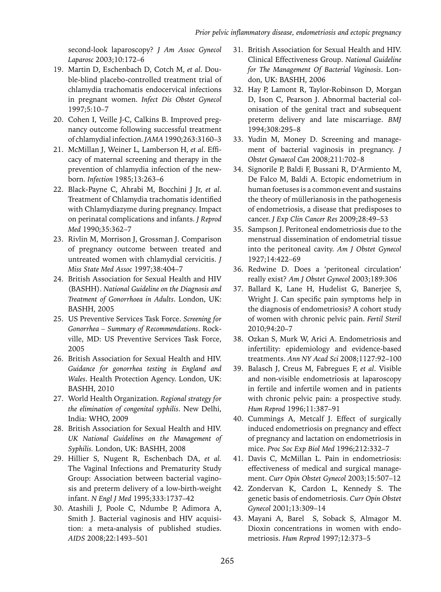second-look laparoscopy? *J Am Assoc Gynecol Laparosc* 2003;10:172–6

- 19. Martin D, Eschenbach D, Cotch M, *et al*. Double-blind placebo-controlled treatment trial of chlamydia trachomatis endocervical infections in pregnant women. *Infect Dis Obstet Gynecol*  1997;5:10–7
- 20. Cohen I, Veille J-C, Calkins B. Improved pregnancy outcome following successful treatment of chlamydial infection. *JAMA* 1990;263:3160–3
- 21. McMillan J, Weiner L, Lamberson H, *et al*. Efficacy of maternal screening and therapy in the prevention of chlamydia infection of the newborn. *Infection* 1985;13:263–6
- 22. Black-Payne C, Ahrabi M, Bocchini J Jr, *et al*. Treatment of Chlamydia trachomatis identified with Chlamydiazyme during pregnancy. Impact on perinatal complications and infants. *J Reprod Med* 1990;35:362–7
- 23. Rivlin M, Morrison J, Grossman J. Comparison of pregnancy outcome between treated and untreated women with chlamydial cervicitis. *J Miss State Med Assoc* 1997;38:404–7
- 24. British Association for Sexual Health and HIV (BASHH). *National Guideline on the Diagnosis and Treatment of Gonorrhoea in Adults*. London, UK: BASHH, 2005
- 25. US Preventive Services Task Force. *Screening for Gonorrhea – Summary of Recommendations*. Rockville, MD: US Preventive Services Task Force, 2005
- 26. British Association for Sexual Health and HIV. *Guidance for gonorrhea testing in England and Wales*. Health Protection Agency. London, UK: BASHH, 2010
- 27. World Health Organization. *Regional strategy for the elimination of congenital syphilis*. New Delhi, India: WHO, 2009
- 28. British Association for Sexual Health and HIV. *UK National Guidelines on the Management of Syphilis.* London, UK: BASHH, 2008
- 29. Hillier S, Nugent R, Eschenbach DA, *et al.* The Vaginal Infections and Prematurity Study Group: Association between bacterial vaginosis and preterm delivery of a low-birth-weight infant. *N Engl J Med* 1995;333:1737–42
- 30. Atashili J, Poole C, Ndumbe P, Adimora A, Smith J. Bacterial vaginosis and HIV acquisition: a meta-analysis of published studies. *AIDS* 2008;22:1493–501
- 31. British Association for Sexual Health and HIV. Clinical Effectiveness Group. *National Guideline for The Management Of Bacterial Vaginosis*. London, UK: BASHH, 2006
- 32. Hay P, Lamont R, Taylor-Robinson D, Morgan D, Ison C, Pearson J. Abnormal bacterial colonisation of the genital tract and subsequent preterm delivery and late miscarriage. *BMJ*  1994;308:295–8
- 33. Yudin M, Money D. Screening and management of bacterial vaginosis in pregnancy. *J Obstet Gynaecol Can* 2008;211:702–8
- 34. Signorile P, Baldi F, Bussani R, D'Armiento M, De Falco M, Baldi A. Ectopic endometrium in human foetuses is a common event and sustains the theory of müllerianosis in the pathogenesis of endometriosis, a disease that predisposes to cancer. *J Exp Clin Cancer Res* 2009;28:49–53
- 35. Sampson J. Peritoneal endometriosis due to the menstrual dissemination of endometrial tissue into the peritoneal cavity. *Am J Obstet Gynecol*  1927;14:422–69
- 36. Redwine D. Does a 'peritoneal circulation' really exist? *Am J Obstet Gynecol* 2003;189:306
- 37. Ballard K, Lane H, Hudelist G, Banerjee S, Wright J. Can specific pain symptoms help in the diagnosis of endometriosis? A cohort study of women with chronic pelvic pain. *Fertil Steril*  2010;94:20–7
- 38. Ozkan S, Murk W, Arici A. Endometriosis and infertility: epidemiology and evidence-based treatments. *Ann NY Acad Sci* 2008;1127:92–100
- 39. Balasch J, Creus M, Fabregues F, *et al*. Visible and non-visible endometriosis at laparoscopy in fertile and infertile women and in patients with chronic pelvic pain: a prospective study. *Hum Reprod* 1996;11:387–91
- 40. Cummings A, Metcalf J. Effect of surgically induced endometriosis on pregnancy and effect of pregnancy and lactation on endometriosis in mice. *Proc Soc Exp Biol Med* 1996;212:332–7
- 41. Davis C, McMillan L. Pain in endometriosis: effectiveness of medical and surgical management. *Curr Opin Obstet Gynecol* 2003;15:507–12
- 42. Zondervan K, Cardon L, Kennedy S. The genetic basis of endometriosis. *Curr Opin Obstet Gynecol* 2001;13:309–14
- 43. Mayani A, Barel S, Soback S, Almagor M. Dioxin concentrations in women with endometriosis. *Hum Reprod* 1997;12:373–5